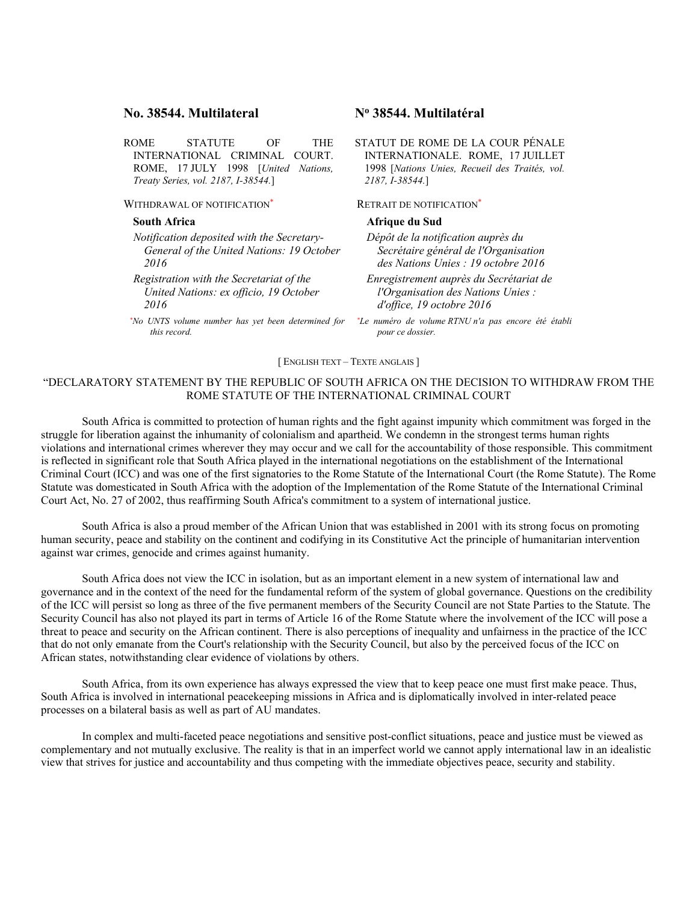# **No. 38544. Multilateral N<sup>o</sup> 38544. Multilatéral**

ROME STATUTE OF THE INTERNATIONAL CRIMINAL COURT. ROME, 17 JULY 1998 [*United Nations, Treaty Series, vol. 2187, I-38544.*]

### WITHDRAWAL OF NOTIFICATION<sup>\*</sup> RETRAIT DE NOTIFICATION<sup>\*</sup>

*Notification deposited with the Secretary-General of the United Nations: 19 October 2016*

*Registration with the Secretariat of the United Nations: ex officio, 19 October 2016*

*\*No UNTS volume number has yet been determined for this record.*

STATUT DE ROME DE LA COUR PÉNALE INTERNATIONALE. ROME, 17 JUILLET 1998 [*Nations Unies, Recueil des Traités, vol. 2187, I-38544.*]

### **South Africa Afrique du Sud**

*Dépôt de la notification auprès du Secrétaire général de l'Organisation des Nations Unies : 19 octobre 2016*

*Enregistrement auprès du Secrétariat de l'Organisation des Nations Unies : d'office, 19 octobre 2016*

*\*Le numéro de volume RTNU n'a pas encore été établi pour ce dossier.*

### [ ENGLISH TEXT – TEXTE ANGLAIS ]

# "DECLARATORY STATEMENT BY THE REPUBLIC OF SOUTH AFRICA ON THE DECISION TO WITHDRAW FROM THE ROME STATUTE OF THE INTERNATIONAL CRIMINAL COURT

South Africa is committed to protection of human rights and the fight against impunity which commitment was forged in the struggle for liberation against the inhumanity of colonialism and apartheid. We condemn in the strongest terms human rights violations and international crimes wherever they may occur and we call for the accountability of those responsible. This commitment is reflected in significant role that South Africa played in the international negotiations on the establishment of the International Criminal Court (ICC) and was one of the first signatories to the Rome Statute of the International Court (the Rome Statute). The Rome Statute was domesticated in South Africa with the adoption of the Implementation of the Rome Statute of the International Criminal Court Act, No. 27 of 2002, thus reaffirming South Africa's commitment to a system of international justice.

South Africa is also a proud member of the African Union that was established in 2001 with its strong focus on promoting human security, peace and stability on the continent and codifying in its Constitutive Act the principle of humanitarian intervention against war crimes, genocide and crimes against humanity.

South Africa does not view the ICC in isolation, but as an important element in a new system of international law and governance and in the context of the need for the fundamental reform of the system of global governance. Questions on the credibility of the ICC will persist so long as three of the five permanent members of the Security Council are not State Parties to the Statute. The Security Council has also not played its part in terms of Article 16 of the Rome Statute where the involvement of the ICC will pose a threat to peace and security on the African continent. There is also perceptions of inequality and unfairness in the practice of the ICC that do not only emanate from the Court's relationship with the Security Council, but also by the perceived focus of the ICC on African states, notwithstanding clear evidence of violations by others.

South Africa, from its own experience has always expressed the view that to keep peace one must first make peace. Thus, South Africa is involved in international peacekeeping missions in Africa and is diplomatically involved in inter-related peace processes on a bilateral basis as well as part of AU mandates.

In complex and multi-faceted peace negotiations and sensitive post-conflict situations, peace and justice must be viewed as complementary and not mutually exclusive. The reality is that in an imperfect world we cannot apply international law in an idealistic view that strives for justice and accountability and thus competing with the immediate objectives peace, security and stability.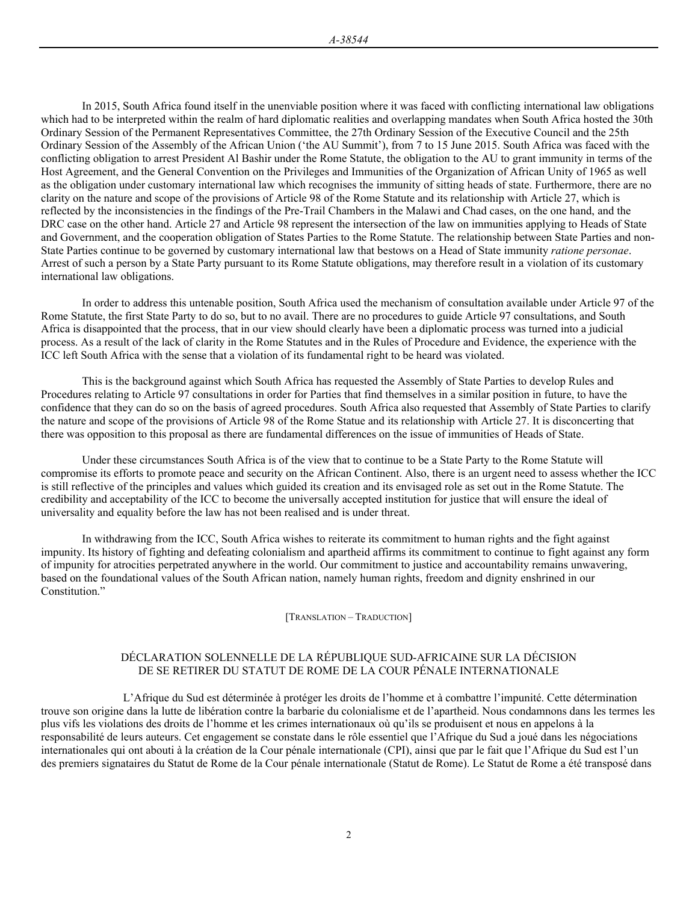In 2015, South Africa found itself in the unenviable position where it was faced with conflicting international law obligations which had to be interpreted within the realm of hard diplomatic realities and overlapping mandates when South Africa hosted the 30th Ordinary Session of the Permanent Representatives Committee, the 27th Ordinary Session of the Executive Council and the 25th Ordinary Session of the Assembly of the African Union ('the AU Summit'), from 7 to 15 June 2015. South Africa was faced with the conflicting obligation to arrest President Al Bashir under the Rome Statute, the obligation to the AU to grant immunity in terms of the Host Agreement, and the General Convention on the Privileges and Immunities of the Organization of African Unity of 1965 as well as the obligation under customary international law which recognises the immunity of sitting heads of state. Furthermore, there are no clarity on the nature and scope of the provisions of Article 98 of the Rome Statute and its relationship with Article 27, which is reflected by the inconsistencies in the findings of the Pre-Trail Chambers in the Malawi and Chad cases, on the one hand, and the DRC case on the other hand. Article 27 and Article 98 represent the intersection of the law on immunities applying to Heads of State and Government, and the cooperation obligation of States Parties to the Rome Statute. The relationship between State Parties and non-State Parties continue to be governed by customary international law that bestows on a Head of State immunity *ratione personae*. Arrest of such a person by a State Party pursuant to its Rome Statute obligations, may therefore result in a violation of its customary international law obligations.

In order to address this untenable position, South Africa used the mechanism of consultation available under Article 97 of the Rome Statute, the first State Party to do so, but to no avail. There are no procedures to guide Article 97 consultations, and South Africa is disappointed that the process, that in our view should clearly have been a diplomatic process was turned into a judicial process. As a result of the lack of clarity in the Rome Statutes and in the Rules of Procedure and Evidence, the experience with the ICC left South Africa with the sense that a violation of its fundamental right to be heard was violated.

This is the background against which South Africa has requested the Assembly of State Parties to develop Rules and Procedures relating to Article 97 consultations in order for Parties that find themselves in a similar position in future, to have the confidence that they can do so on the basis of agreed procedures. South Africa also requested that Assembly of State Parties to clarify the nature and scope of the provisions of Article 98 of the Rome Statue and its relationship with Article 27. It is disconcerting that there was opposition to this proposal as there are fundamental differences on the issue of immunities of Heads of State.

Under these circumstances South Africa is of the view that to continue to be a State Party to the Rome Statute will compromise its efforts to promote peace and security on the African Continent. Also, there is an urgent need to assess whether the ICC is still reflective of the principles and values which guided its creation and its envisaged role as set out in the Rome Statute. The credibility and acceptability of the ICC to become the universally accepted institution for justice that will ensure the ideal of universality and equality before the law has not been realised and is under threat.

In withdrawing from the ICC, South Africa wishes to reiterate its commitment to human rights and the fight against impunity. Its history of fighting and defeating colonialism and apartheid affirms its commitment to continue to fight against any form of impunity for atrocities perpetrated anywhere in the world. Our commitment to justice and accountability remains unwavering, based on the foundational values of the South African nation, namely human rights, freedom and dignity enshrined in our Constitution<sup>"</sup>

[TRANSLATION – TRADUCTION]

## DÉCLARATION SOLENNELLE DE LA RÉPUBLIQUE SUD-AFRICAINE SUR LA DÉCISION DE SE RETIRER DU STATUT DE ROME DE LA COUR PÉNALE INTERNATIONALE

L'Afrique du Sud est déterminée à protéger les droits de l'homme et à combattre l'impunité. Cette détermination trouve son origine dans la lutte de libération contre la barbarie du colonialisme et de l'apartheid. Nous condamnons dans les termes les plus vifs les violations des droits de l'homme et les crimes internationaux où qu'ils se produisent et nous en appelons à la responsabilité de leurs auteurs. Cet engagement se constate dans le rôle essentiel que l'Afrique du Sud a joué dans les négociations internationales qui ont abouti à la création de la Cour pénale internationale (CPI), ainsi que par le fait que l'Afrique du Sud est l'un des premiers signataires du Statut de Rome de la Cour pénale internationale (Statut de Rome). Le Statut de Rome a été transposé dans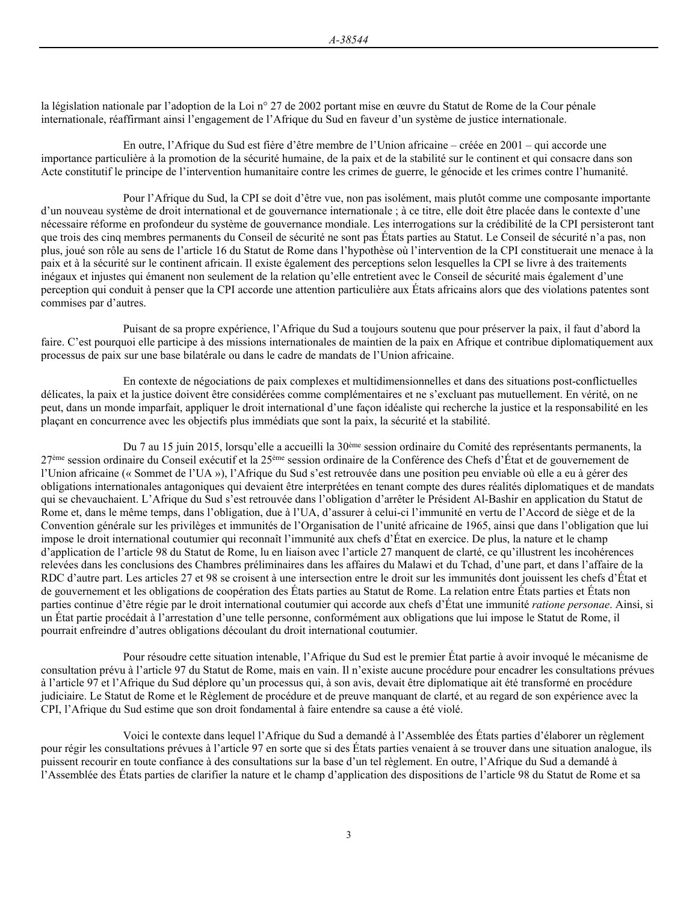la législation nationale par l'adoption de la Loi n° 27 de 2002 portant mise en œuvre du Statut de Rome de la Cour pénale internationale, réaffirmant ainsi l'engagement de l'Afrique du Sud en faveur d'un système de justice internationale.

En outre, l'Afrique du Sud est fière d'être membre de l'Union africaine – créée en 2001 – qui accorde une importance particulière à la promotion de la sécurité humaine, de la paix et de la stabilité sur le continent et qui consacre dans son Acte constitutif le principe de l'intervention humanitaire contre les crimes de guerre, le génocide et les crimes contre l'humanité.

Pour l'Afrique du Sud, la CPI se doit d'être vue, non pas isolément, mais plutôt comme une composante importante d'un nouveau système de droit international et de gouvernance internationale ; à ce titre, elle doit être placée dans le contexte d'une nécessaire réforme en profondeur du système de gouvernance mondiale. Les interrogations sur la crédibilité de la CPI persisteront tant que trois des cinq membres permanents du Conseil de sécurité ne sont pas États parties au Statut. Le Conseil de sécurité n'a pas, non plus, joué son rôle au sens de l'article 16 du Statut de Rome dans l'hypothèse où l'intervention de la CPI constituerait une menace à la paix et à la sécurité sur le continent africain. Il existe également des perceptions selon lesquelles la CPI se livre à des traitements inégaux et injustes qui émanent non seulement de la relation qu'elle entretient avec le Conseil de sécurité mais également d'une perception qui conduit à penser que la CPI accorde une attention particulière aux États africains alors que des violations patentes sont commises par d'autres.

Puisant de sa propre expérience, l'Afrique du Sud a toujours soutenu que pour préserver la paix, il faut d'abord la faire. C'est pourquoi elle participe à des missions internationales de maintien de la paix en Afrique et contribue diplomatiquement aux processus de paix sur une base bilatérale ou dans le cadre de mandats de l'Union africaine.

En contexte de négociations de paix complexes et multidimensionnelles et dans des situations post-conflictuelles délicates, la paix et la justice doivent être considérées comme complémentaires et ne s'excluant pas mutuellement. En vérité, on ne peut, dans un monde imparfait, appliquer le droit international d'une façon idéaliste qui recherche la justice et la responsabilité en les plaçant en concurrence avec les objectifs plus immédiats que sont la paix, la sécurité et la stabilité.

Du 7 au 15 juin 2015, lorsqu'elle a accueilli la 30ème session ordinaire du Comité des représentants permanents, la 27<sup>ème</sup> session ordinaire du Conseil exécutif et la 25<sup>ème</sup> session ordinaire de la Conférence des Chefs d'État et de gouvernement de l'Union africaine (« Sommet de l'UA »), l'Afrique du Sud s'est retrouvée dans une position peu enviable où elle a eu à gérer des obligations internationales antagoniques qui devaient être interprétées en tenant compte des dures réalités diplomatiques et de mandats qui se chevauchaient. L'Afrique du Sud s'est retrouvée dans l'obligation d'arrêter le Président Al-Bashir en application du Statut de Rome et, dans le même temps, dans l'obligation, due à l'UA, d'assurer à celui-ci l'immunité en vertu de l'Accord de siège et de la Convention générale sur les privilèges et immunités de l'Organisation de l'unité africaine de 1965, ainsi que dans l'obligation que lui impose le droit international coutumier qui reconnaît l'immunité aux chefs d'État en exercice. De plus, la nature et le champ d'application de l'article 98 du Statut de Rome, lu en liaison avec l'article 27 manquent de clarté, ce qu'illustrent les incohérences relevées dans les conclusions des Chambres préliminaires dans les affaires du Malawi et du Tchad, d'une part, et dans l'affaire de la RDC d'autre part. Les articles 27 et 98 se croisent à une intersection entre le droit sur les immunités dont jouissent les chefs d'État et de gouvernement et les obligations de coopération des États parties au Statut de Rome. La relation entre États parties et États non parties continue d'être régie par le droit international coutumier qui accorde aux chefs d'État une immunité *ratione personae*. Ainsi, si un État partie procédait à l'arrestation d'une telle personne, conformément aux obligations que lui impose le Statut de Rome, il pourrait enfreindre d'autres obligations découlant du droit international coutumier.

Pour résoudre cette situation intenable, l'Afrique du Sud est le premier État partie à avoir invoqué le mécanisme de consultation prévu à l'article 97 du Statut de Rome, mais en vain. Il n'existe aucune procédure pour encadrer les consultations prévues à l'article 97 et l'Afrique du Sud déplore qu'un processus qui, à son avis, devait être diplomatique ait été transformé en procédure judiciaire. Le Statut de Rome et le Règlement de procédure et de preuve manquant de clarté, et au regard de son expérience avec la CPI, l'Afrique du Sud estime que son droit fondamental à faire entendre sa cause a été violé.

Voici le contexte dans lequel l'Afrique du Sud a demandé à l'Assemblée des États parties d'élaborer un règlement pour régir les consultations prévues à l'article 97 en sorte que si des États parties venaient à se trouver dans une situation analogue, ils puissent recourir en toute confiance à des consultations sur la base d'un tel règlement. En outre, l'Afrique du Sud a demandé à l'Assemblée des États parties de clarifier la nature et le champ d'application des dispositions de l'article 98 du Statut de Rome et sa